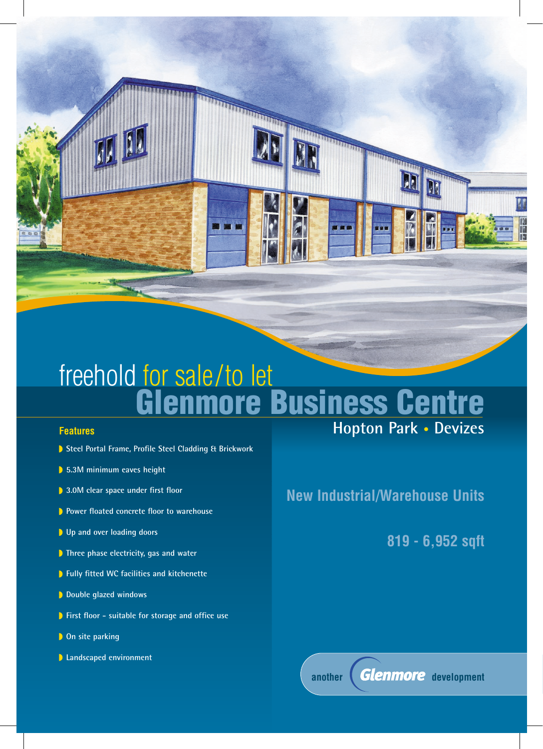# freehold for sale/to let **Glenmore Business Centre**

ATTENDANCE

**CONTRACTOR** 

### **Features**

- **Steel Portal Frame, Profile Steel Cladding & Brickwork**
- **5.3M minimum eaves height**
- **3.0M clear space under first floor**
- **P** Power floated concrete floor to warehouse
- **Up and over loading doors**
- **Three phase electricity, gas and water**
- **Fully fitted WC facilities and kitchenette**
- **Double glazed windows**
- **First floor suitable for storage and office use**
- **D** On site parking
- **Landscaped environment**

**Hopton Park • Devizes**

## **New Industrial/Warehouse Units**

**819 - 6,952 sqft**



another **Glenmore** development